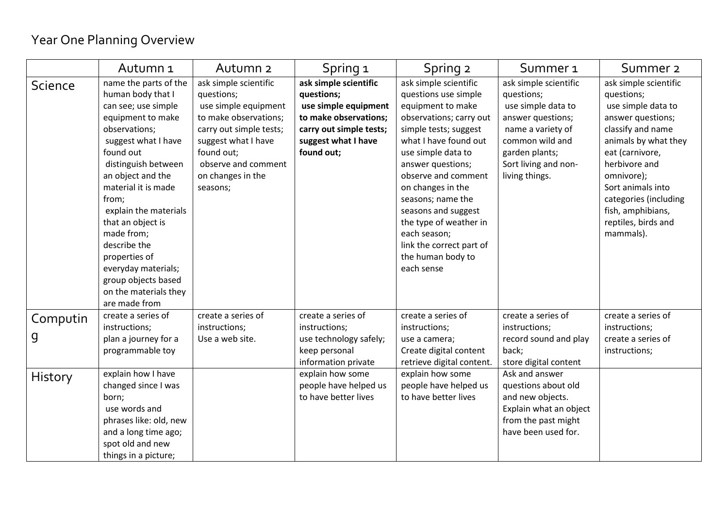## Year One Planning Overview

|                | Autumn 1                                                                                                                                                                                                                                                                                                                                                                                                     | Autumn <sub>2</sub>                                                                                                                                                                                          | Spring 1                                                                                                                                             | Spring 2                                                                                                                                                                                                                                                                                                                                                                                    | Summer <sub>1</sub>                                                                                                                                                                | Summer <sub>2</sub>                                                                                                                                                                                                                                                                  |
|----------------|--------------------------------------------------------------------------------------------------------------------------------------------------------------------------------------------------------------------------------------------------------------------------------------------------------------------------------------------------------------------------------------------------------------|--------------------------------------------------------------------------------------------------------------------------------------------------------------------------------------------------------------|------------------------------------------------------------------------------------------------------------------------------------------------------|---------------------------------------------------------------------------------------------------------------------------------------------------------------------------------------------------------------------------------------------------------------------------------------------------------------------------------------------------------------------------------------------|------------------------------------------------------------------------------------------------------------------------------------------------------------------------------------|--------------------------------------------------------------------------------------------------------------------------------------------------------------------------------------------------------------------------------------------------------------------------------------|
| <b>Science</b> | name the parts of the<br>human body that I<br>can see; use simple<br>equipment to make<br>observations;<br>suggest what I have<br>found out<br>distinguish between<br>an object and the<br>material it is made<br>from;<br>explain the materials<br>that an object is<br>made from;<br>describe the<br>properties of<br>everyday materials;<br>group objects based<br>on the materials they<br>are made from | ask simple scientific<br>questions;<br>use simple equipment<br>to make observations;<br>carry out simple tests;<br>suggest what I have<br>found out;<br>observe and comment<br>on changes in the<br>seasons; | ask simple scientific<br>questions;<br>use simple equipment<br>to make observations;<br>carry out simple tests;<br>suggest what I have<br>found out; | ask simple scientific<br>questions use simple<br>equipment to make<br>observations; carry out<br>simple tests; suggest<br>what I have found out<br>use simple data to<br>answer questions;<br>observe and comment<br>on changes in the<br>seasons; name the<br>seasons and suggest<br>the type of weather in<br>each season;<br>link the correct part of<br>the human body to<br>each sense | ask simple scientific<br>questions;<br>use simple data to<br>answer questions;<br>name a variety of<br>common wild and<br>garden plants;<br>Sort living and non-<br>living things. | ask simple scientific<br>questions;<br>use simple data to<br>answer questions;<br>classify and name<br>animals by what they<br>eat (carnivore,<br>herbivore and<br>omnivore);<br>Sort animals into<br>categories (including<br>fish, amphibians,<br>reptiles, birds and<br>mammals). |
| Computin<br>g  | create a series of<br>instructions;<br>plan a journey for a<br>programmable toy                                                                                                                                                                                                                                                                                                                              | create a series of<br>instructions;<br>Use a web site.                                                                                                                                                       | create a series of<br>instructions;<br>use technology safely;<br>keep personal<br>information private                                                | create a series of<br>instructions;<br>use a camera;<br>Create digital content<br>retrieve digital content.                                                                                                                                                                                                                                                                                 | create a series of<br>instructions;<br>record sound and play<br>back;<br>store digital content                                                                                     | create a series of<br>instructions;<br>create a series of<br>instructions;                                                                                                                                                                                                           |
| History        | explain how I have<br>changed since I was<br>born;<br>use words and<br>phrases like: old, new<br>and a long time ago;<br>spot old and new<br>things in a picture;                                                                                                                                                                                                                                            |                                                                                                                                                                                                              | explain how some<br>people have helped us<br>to have better lives                                                                                    | explain how some<br>people have helped us<br>to have better lives                                                                                                                                                                                                                                                                                                                           | Ask and answer<br>questions about old<br>and new objects.<br>Explain what an object<br>from the past might<br>have been used for.                                                  |                                                                                                                                                                                                                                                                                      |